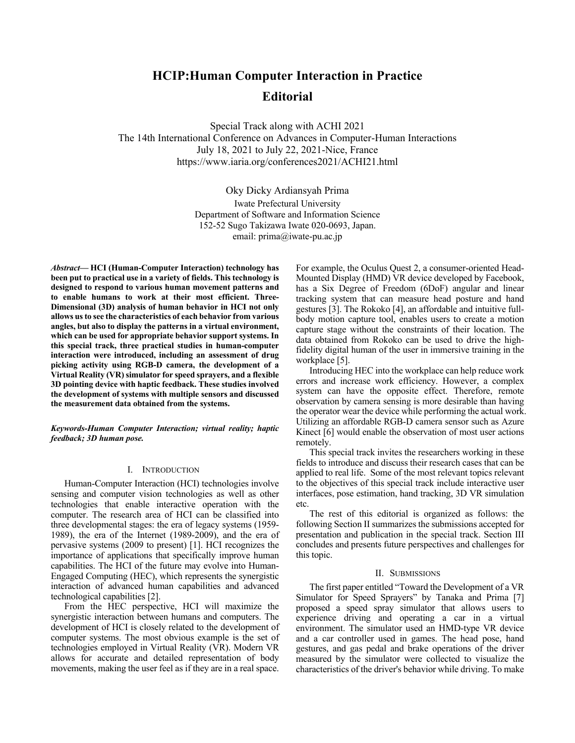# **HCIP:Human Computer Interaction in Practice Editorial**

Special Track along with ACHI 2021 The 14th International Conference on Advances in Computer-Human Interactions July 18, 2021 to July 22, 2021-Nice, France https://www.iaria.org/conferences2021/ACHI21.html

> Oky Dicky Ardiansyah Prima Iwate Prefectural University Department of Software and Information Science 152-52 Sugo Takizawa Iwate 020-0693, Japan. email: prima@iwate-pu.ac.jp

*Abstract***— HCI (Human-Computer Interaction) technology has been put to practical use in a variety of fields. This technology is designed to respond to various human movement patterns and to enable humans to work at their most efficient. Three-Dimensional (3D) analysis of human behavior in HCI not only allows us to see the characteristics of each behavior from various angles, but also to display the patterns in a virtual environment, which can be used for appropriate behavior support systems. In this special track, three practical studies in human-computer interaction were introduced, including an assessment of drug picking activity using RGB-D camera, the development of a Virtual Reality (VR) simulator for speed sprayers, and a flexible 3D pointing device with haptic feedback. These studies involved the development of systems with multiple sensors and discussed the measurement data obtained from the systems.**

*Keywords-Human Computer Interaction; virtual reality; haptic feedback; 3D human pose.*

### I. INTRODUCTION

Human-Computer Interaction (HCI) technologies involve sensing and computer vision technologies as well as other technologies that enable interactive operation with the computer. The research area of HCI can be classified into three developmental stages: the era of legacy systems (1959- 1989), the era of the Internet (1989-2009), and the era of pervasive systems (2009 to present) [1]. HCI recognizes the importance of applications that specifically improve human capabilities. The HCI of the future may evolve into Human-Engaged Computing (HEC), which represents the synergistic interaction of advanced human capabilities and advanced technological capabilities [2].

From the HEC perspective, HCI will maximize the synergistic interaction between humans and computers. The development of HCI is closely related to the development of computer systems. The most obvious example is the set of technologies employed in Virtual Reality (VR). Modern VR allows for accurate and detailed representation of body movements, making the user feel as if they are in a real space.

For example, the Oculus Quest 2, a consumer-oriented Head-Mounted Display (HMD) VR device developed by Facebook, has a Six Degree of Freedom (6DoF) angular and linear tracking system that can measure head posture and hand gestures [3]. The Rokoko [4], an affordable and intuitive fullbody motion capture tool, enables users to create a motion capture stage without the constraints of their location. The data obtained from Rokoko can be used to drive the highfidelity digital human of the user in immersive training in the workplace [5].

Introducing HEC into the workplace can help reduce work errors and increase work efficiency. However, a complex system can have the opposite effect. Therefore, remote observation by camera sensing is more desirable than having the operator wear the device while performing the actual work. Utilizing an affordable RGB-D camera sensor such as Azure Kinect [6] would enable the observation of most user actions remotely.

This special track invites the researchers working in these fields to introduce and discuss their research cases that can be applied to real life. Some of the most relevant topics relevant to the objectives of this special track include interactive user interfaces, pose estimation, hand tracking, 3D VR simulation etc.

The rest of this editorial is organized as follows: the following Section II summarizes the submissions accepted for presentation and publication in the special track. Section III concludes and presents future perspectives and challenges for this topic.

## II. SUBMISSIONS

The first paper entitled "Toward the Development of a VR Simulator for Speed Sprayers" by Tanaka and Prima [7] proposed a speed spray simulator that allows users to experience driving and operating a car in a virtual environment. The simulator used an HMD-type VR device and a car controller used in games. The head pose, hand gestures, and gas pedal and brake operations of the driver measured by the simulator were collected to visualize the characteristics of the driver's behavior while driving. To make